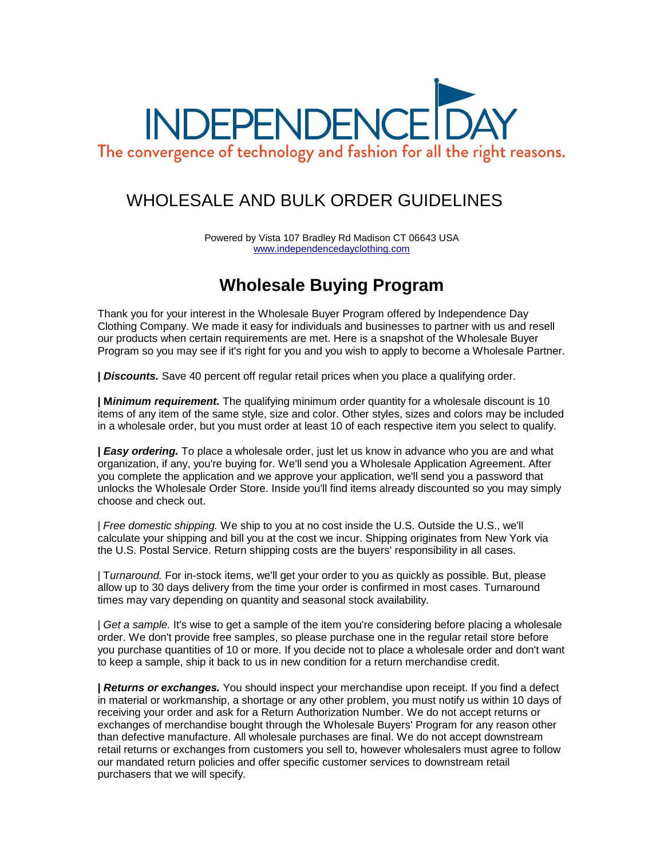

## WHOLESALE AND BULK ORDER GUIDELINES

Powered by Vista 107 Bradley Rd Madison CT 06643 USA [www.independencedayclothing.com](http://www.independencedayclothing.com/)

## **Wholesale Buying Program**

Thank you for your interest in the Wholesale Buyer Program offered by Independence Day Clothing Company. We made it easy for individuals and businesses to partner with us and resell our products when certain requirements are met. Here is a snapshot of the Wholesale Buyer Program so you may see if it's right for you and you wish to apply to become a Wholesale Partner.

**|** *Discounts.* Save 40 percent off regular retail prices when you place a qualifying order.

**| M***inimum requirement.* The qualifying minimum order quantity for a wholesale discount is 10 items of any item of the same style, size and color. Other styles, sizes and colors may be included in a wholesale order, but you must order at least 10 of each respective item you select to qualify.

**|** *Easy ordering.* To place a wholesale order, just let us know in advance who you are and what organization, if any, you're buying for. We'll send you a Wholesale Application Agreement. After you complete the application and we approve your application, we'll send you a password that unlocks the Wholesale Order Store. Inside you'll find items already discounted so you may simply choose and check out.

| *Free domestic shipping.* We ship to you at no cost inside the U.S. Outside the U.S., we'll calculate your shipping and bill you at the cost we incur. Shipping originates from New York via the U.S. Postal Service. Return shipping costs are the buyers' responsibility in all cases.

| T*urnaround.* For in-stock items, we'll get your order to you as quickly as possible. But, please allow up to 30 days delivery from the time your order is confirmed in most cases. Turnaround times may vary depending on quantity and seasonal stock availability.

| *Get a sample.* It's wise to get a sample of the item you're considering before placing a wholesale order. We don't provide free samples, so please purchase one in the regular retail store before you purchase quantities of 10 or more. If you decide not to place a wholesale order and don't want to keep a sample, ship it back to us in new condition for a return merchandise credit.

**|** *Returns or exchanges.* You should inspect your merchandise upon receipt. If you find a defect in material or workmanship, a shortage or any other problem, you must notify us within 10 days of receiving your order and ask for a Return Authorization Number. We do not accept returns or exchanges of merchandise bought through the Wholesale Buyers' Program for any reason other than defective manufacture. All wholesale purchases are final. We do not accept downstream retail returns or exchanges from customers you sell to, however wholesalers must agree to follow our mandated return policies and offer specific customer services to downstream retail purchasers that we will specify.